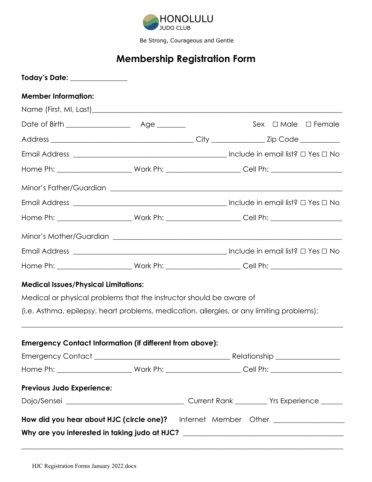

Be Strong, Courageous and Gentle

# **Membership Registration Form**

| Today's Date: ______________                                                              |  |  |                                                                                  |
|-------------------------------------------------------------------------------------------|--|--|----------------------------------------------------------------------------------|
| <b>Member Information:</b>                                                                |  |  |                                                                                  |
|                                                                                           |  |  |                                                                                  |
|                                                                                           |  |  | Sex $\Box$ Male $\Box$ Female                                                    |
|                                                                                           |  |  |                                                                                  |
|                                                                                           |  |  |                                                                                  |
|                                                                                           |  |  |                                                                                  |
|                                                                                           |  |  |                                                                                  |
|                                                                                           |  |  |                                                                                  |
|                                                                                           |  |  |                                                                                  |
|                                                                                           |  |  |                                                                                  |
|                                                                                           |  |  |                                                                                  |
|                                                                                           |  |  |                                                                                  |
| <b>Medical Issues/Physical Limitations:</b>                                               |  |  |                                                                                  |
| Medical or physical problems that the instructor should be aware of                       |  |  |                                                                                  |
| (i.e. Asthma, epilepsy, heart problems, medication, allergies, or any limiting problems): |  |  |                                                                                  |
| <b>Emergency Contact Information (if different from above):</b>                           |  |  |                                                                                  |
|                                                                                           |  |  |                                                                                  |
|                                                                                           |  |  |                                                                                  |
| Previous Judo Experience:                                                                 |  |  |                                                                                  |
|                                                                                           |  |  |                                                                                  |
| How did you hear about HJC (circle one)?                                                  |  |  |                                                                                  |
|                                                                                           |  |  | Why are you interested in taking judo at HJC? __________________________________ |

**\_\_\_\_\_\_\_\_\_\_\_\_\_\_\_\_\_\_\_\_\_\_\_\_\_\_\_\_\_\_\_\_\_\_\_\_\_\_\_\_\_\_\_\_\_\_\_\_\_\_\_\_\_\_\_\_\_\_\_\_\_\_\_\_\_\_\_\_\_\_\_\_\_\_\_\_\_\_\_\_\_\_\_\_\_\_\_\_\_\_**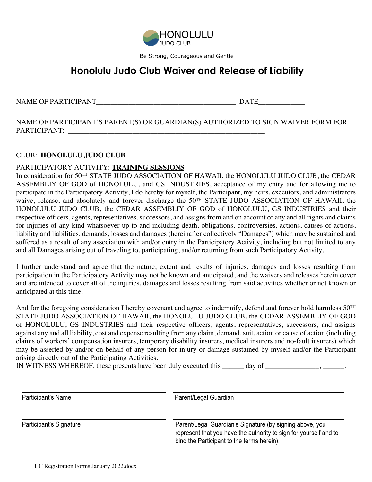

Be Strong, Courageous and Gentle

## **Honolulu Judo Club Waiver and Release of Liability**

NAME OF PARTICIPANT THE RELATIONSHIP OF PARTICIPANT

NAME OF PARTICIPANT'S PARENT(S) OR GUARDIAN(S) AUTHORIZED TO SIGN WAIVER FORM FOR PARTICIPANT: \_\_\_\_\_\_\_\_\_\_\_\_\_\_\_\_\_\_\_\_\_\_\_\_\_\_\_\_\_\_\_\_\_\_\_\_\_\_\_\_\_\_\_\_\_\_\_\_\_\_\_\_\_\_\_

### CLUB: **HONOLULU JUDO CLUB**

#### PARTICIPATORY ACTIVITY: **TRAINING SESSIONS**

In consideration for 50TH STATE JUDO ASSOCIATION OF HAWAII, the HONOLULU JUDO CLUB, the CEDAR ASSEMBLIY OF GOD of HONOLULU, and GS INDUSTRIES, acceptance of my entry and for allowing me to participate in the Participatory Activity, I do hereby for myself, the Participant, my heirs, executors, and administrators waive, release, and absolutely and forever discharge the 50<sup>TH</sup> STATE JUDO ASSOCIATION OF HAWAII, the HONOLULU JUDO CLUB, the CEDAR ASSEMBLIY OF GOD of HONOLULU, GS INDUSTRIES and their respective officers, agents, representatives, successors, and assigns from and on account of any and all rights and claims for injuries of any kind whatsoever up to and including death, obligations, controversies, actions, causes of actions, liability and liabilities, demands, losses and damages (hereinafter collectively "Damages") which may be sustained and suffered as a result of any association with and/or entry in the Participatory Activity, including but not limited to any and all Damages arising out of traveling to, participating, and/or returning from such Participatory Activity.

I further understand and agree that the nature, extent and results of injuries, damages and losses resulting from participation in the Participatory Activity may not be known and anticipated, and the waivers and releases herein cover and are intended to cover all of the injuries, damages and losses resulting from said activities whether or not known or anticipated at this time.

And for the foregoing consideration I hereby covenant and agree to indemnify, defend and forever hold harmless 50<sup>TH</sup> STATE JUDO ASSOCIATION OF HAWAII, the HONOLULU JUDO CLUB, the CEDAR ASSEMBLIY OF GOD of HONOLULU, GS INDUSTRIES and their respective officers, agents, representatives, successors, and assigns against any and all liability, cost and expense resulting from any claim, demand, suit, action or cause of action (including claims of workers' compensation insurers, temporary disability insurers, medical insurers and no-fault insurers) which may be asserted by and/or on behalf of any person for injury or damage sustained by myself and/or the Participant arising directly out of the Participating Activities.

IN WITNESS WHEREOF, these presents have been duly executed this \_\_\_\_\_\_ day of \_\_\_\_\_\_\_\_\_\_\_\_\_\_, \_\_\_\_\_\_\_.

| Participant's Name      | Parent/Legal Guardian                                                                                                                                                       |
|-------------------------|-----------------------------------------------------------------------------------------------------------------------------------------------------------------------------|
| Participant's Signature | Parent/Legal Guardian's Signature (by signing above, you<br>represent that you have the authority to sign for yourself and to<br>bind the Participant to the terms herein). |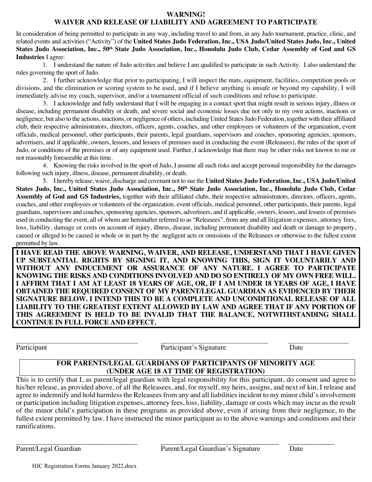#### **WARNING!**

#### **WAIVER AND RELEASE OF LIABILITY AND AGREEMENT TO PARTICIPATE**

In consideration of being permitted to participate in any way, including travel to and from, in any Judo tournament, practice, clinic, and related events and activities ("Activity") of the **United States Judo Federation, Inc., USA Judo/United States Judo, Inc., United States Judo Association, Inc., 50th State Judo Association, Inc., Honolulu Judo Club, Cedar Assembly of God and GS Industries** I agree:

 1. I understand the nature of Judo activities and believe I am qualified to participate in such Activity. I also understand the rules governing the sport of Judo.

2. I further acknowledge that prior to participating, I will inspect the mats, equipment, facilities, competition pools or divisions, and the elimination or scoring system to be used, and if I believe anything is unsafe or beyond my capability, I will immediately advise my coach, supervisor, and/or a tournament official of such conditions and refuse to participate.

3. I acknowledge and fully understand that I will be engaging in a contact sport that might result in serious injury, illness or disease, including permanent disability or death, and severe social and economic losses due not only to my own actions, inactions or negligence, but also to the actions, inactions, or negligence of others, including United States Judo Federation, together with their affiliated club, their respective administrators, directors, officers, agents, coaches, and other employees or volunteers of the organization, event officials, medical personnel, other participants, their parents, legal guardians, supervisors and coaches, sponsoring agencies, sponsors, advertisers, and if applicable, owners, lessors, and lessees of premises used in conducting the event (Releasees), the rules of the sport of Judo, or conditions of the premises or of any equipment used. Further, I acknowledge that there may be other risks not known to me or not reasonably foreseeable at this time.

4. Knowing the risks involved in the sport of Judo, I assume all such risks and accept personal responsibility for the damages following such injury, illness, disease, permanent disability, or death.

5. I hereby release, waive, discharge and covenant not to sue the **United States Judo Federation, Inc., USA Judo/United States Judo, Inc., United States Judo Association, Inc., 50th State Judo Association, Inc., Honolulu Judo Club, Cedar Assembly of God and GS Industries,** together with their affiliated clubs, their respective administrators, directors, officers, agents, coaches, and other employees or volunteers of the organization, event officials, medical personnel, other participants, their parents, legal guardians, supervisors and coaches, sponsoring agencies, sponsors, advertisers, and if applicable, owners, lessors, and lessees of premises used in conducting the event, all of whom are hereinafter referred to as "Releasees", from any and all litigation expenses, attorney fees, loss, liability, damage or costs on account of injury, illness, disease, including permanent disability and death or damage to property, caused or alleged to be caused in whole or in part by the negligent acts or omissions of the Releasees or otherwise to the fullest extent permitted by law.

**I HAVE READ THE ABOVE WARNING, WAIVER, AND RELEASE, UNDERSTAND THAT I HAVE GIVEN UP SUBSTANTIAL RIGHTS BY SIGNING IT, AND KNOWING THIS, SIGN IT VOLUNTARILY AND WITHOUT ANY INDUCEMENT OR ASSURANCE OF ANY NATURE. I AGREE TO PARTICIPATE KNOWING THE RISKS AND CONDITIONS INVOLVED AND DO SO ENTIRELY OF MY OWN FREE WILL. I AFFIRM THAT I AM AT LEAST 18 YEARS OF AGE, OR, IF I AM UNDER 18 YEARS OF AGE, I HAVE OBTAINED THE REQUIRED CONSENT OF MY PARENT/LEGAL GUARDIAN AS EVIDENCED BY THEIR SIGNATURE BELOW. I INTEND THIS TO BE A COMPLETE AND UNCONDITIONAL RELEASE OF ALL LIABILITY TO THE GREATEST EXTENT ALLOWED BY LAW AND AGREE THAT IF ANY PORTION OF THIS AGREEMENT IS HELD TO BE INVALID THAT THE BALANCE, NOTWITHSTANDING SHALL CONTINUE IN FULL FORCE AND EFFECT.**

Participant Date **Participant's Signature** Date

#### **FOR PARENTS/LEGAL GUARDIANS OF PARTICIPANTS OF MINORITY AGE (UNDER AGE 18 AT TIME OF REGISTRATION)**

This is to certify that I, as parent/legal guardian with legal responsibility for this participant, do consent and agree to his/her release, as provided above, of all the Releasees, and, for myself, my heirs, assigns, and next of kin, I release and agree to indemnify and hold harmless the Releasees from any and all liabilities incident to my minor child's involvement or participation including litigation expenses, attorney fees, loss, liability, damage or costs which may incur as the result of the minor child's participation in these programs as provided above, even if arising from their negligence, to the fullest extent permitted by law. I have instructed the minor participant as to the above warnings and conditions and their ramifications.

\_\_\_\_\_\_\_\_\_\_\_\_\_\_\_\_\_\_\_\_\_\_\_\_\_\_\_\_\_\_\_\_\_\_ \_\_\_\_\_\_\_\_\_\_\_\_\_\_\_\_\_\_\_\_\_\_\_\_\_\_\_\_\_\_\_\_\_ \_\_\_\_\_\_\_\_\_\_\_\_\_ Parent/Legal Guardian Parent/Legal Guardian's Signature Date

HJC Registration Forms January 2022.docx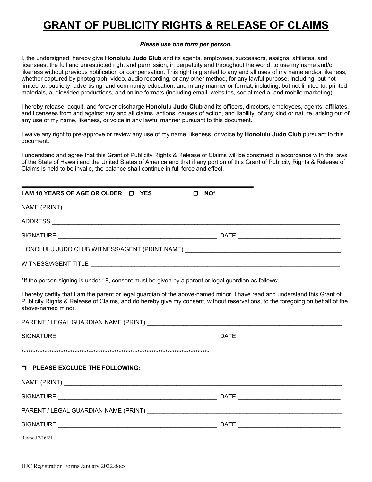# **GRANT OF PUBLICITY RIGHTS & RELEASE OF CLAIMS**

#### *Please use one form per person.*

I, the undersigned, hereby give **Honolulu Judo Club** and its agents, employees, successors, assigns, affiliates, and licensees, the full and unrestricted right and permission, in perpetuity and throughout the world, to use my name and/or likeness without previous notification or compensation. This right is granted to any and all uses of my name and/or likeness, whether captured by photograph, video, audio recording, or any other method, for any lawful purpose, including, but not limited to, publicity, advertising, and community education, and in any manner or format, including, but not limited to, printed materials, audio/video productions, and online formats (including email, websites, social media, and mobile marketing).

I hereby release, acquit, and forever discharge **Honolulu Judo Club** and its officers, directors, employees, agents, affiliates, and licensees from and against any and all claims, actions, causes of action, and liability, of any kind or nature, arising out of any use of my name, likeness, or voice in any lawful manner pursuant to this document.

I waive any right to pre-approve or review any use of my name, likeness, or voice by **Honolulu Judo Club** pursuant to this document.

I understand and agree that this Grant of Publicity Rights & Release of Claims will be construed in accordance with the laws of the State of Hawaii and the United States of America and that if any portion of this Grant of Publicity Rights & Release of Claims is held to be invalid, the balance shall continue in full force and effect.

| I AM 18 YEARS OF AGE OR OLDER □ YES                                                                 | NO <sup>*</sup><br>п                                                                                                                                                                                                                                       |  |  |
|-----------------------------------------------------------------------------------------------------|------------------------------------------------------------------------------------------------------------------------------------------------------------------------------------------------------------------------------------------------------------|--|--|
|                                                                                                     |                                                                                                                                                                                                                                                            |  |  |
|                                                                                                     |                                                                                                                                                                                                                                                            |  |  |
|                                                                                                     |                                                                                                                                                                                                                                                            |  |  |
|                                                                                                     | HONOLULU JUDO CLUB WITNESS/AGENT (PRINT NAME) ___________________________________                                                                                                                                                                          |  |  |
|                                                                                                     |                                                                                                                                                                                                                                                            |  |  |
| *If the person signing is under 18, consent must be given by a parent or legal guardian as follows: |                                                                                                                                                                                                                                                            |  |  |
| above-named minor.                                                                                  | I hereby certify that I am the parent or legal guardian of the above-named minor. I have read and understand this Grant of<br>Publicity Rights & Release of Claims, and do hereby give my consent, without reservations, to the foregoing on behalf of the |  |  |
|                                                                                                     |                                                                                                                                                                                                                                                            |  |  |
|                                                                                                     |                                                                                                                                                                                                                                                            |  |  |
|                                                                                                     |                                                                                                                                                                                                                                                            |  |  |
| <b>D</b> PLEASE EXCLUDE THE FOLLOWING:                                                              |                                                                                                                                                                                                                                                            |  |  |
|                                                                                                     |                                                                                                                                                                                                                                                            |  |  |
|                                                                                                     |                                                                                                                                                                                                                                                            |  |  |
|                                                                                                     |                                                                                                                                                                                                                                                            |  |  |
|                                                                                                     |                                                                                                                                                                                                                                                            |  |  |
| Revised 7/16/21                                                                                     |                                                                                                                                                                                                                                                            |  |  |